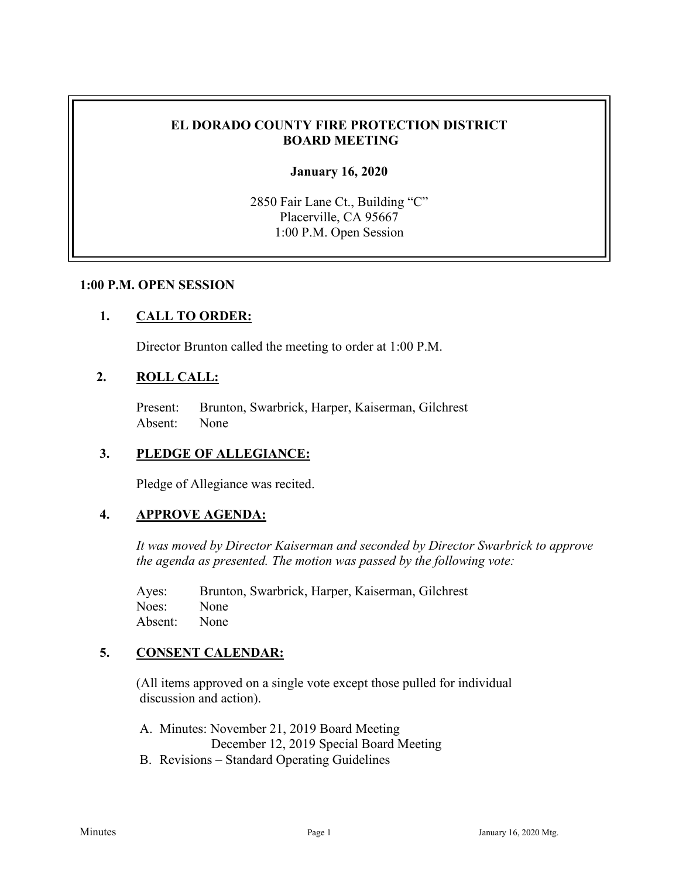# **EL DORADO COUNTY FIRE PROTECTION DISTRICT BOARD MEETING**

#### **January 16, 2020**

2850 Fair Lane Ct., Building "C" Placerville, CA 95667 1:00 P.M. Open Session

#### **1:00 P.M. OPEN SESSION**

### **1. CALL TO ORDER:**

Director Brunton called the meeting to order at 1:00 P.M.

#### **2. ROLL CALL:**

Present: Brunton, Swarbrick, Harper, Kaiserman, Gilchrest Absent: None

#### **3. PLEDGE OF ALLEGIANCE:**

Pledge of Allegiance was recited.

### **4. APPROVE AGENDA:**

*It was moved by Director Kaiserman and seconded by Director Swarbrick to approve the agenda as presented. The motion was passed by the following vote:*

Ayes: Brunton, Swarbrick, Harper, Kaiserman, Gilchrest Noes: None Absent: None

# **5. CONSENT CALENDAR:**

 (All items approved on a single vote except those pulled for individual discussion and action).

A. Minutes: November 21, 2019 Board Meeting December 12, 2019 Special Board Meeting

B. Revisions – Standard Operating Guidelines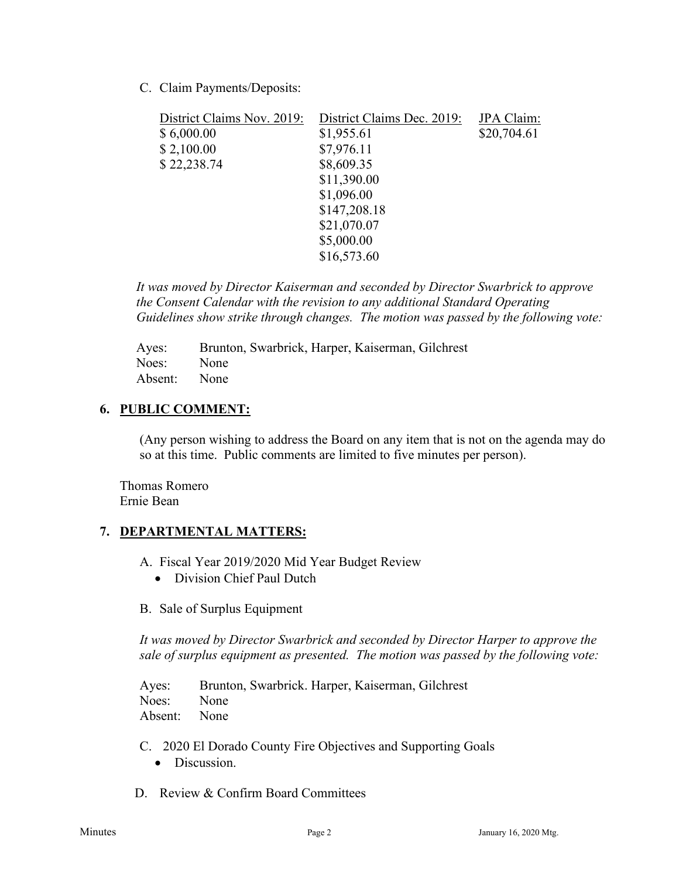C. Claim Payments/Deposits:

| District Claims Nov. 2019: | District Claims Dec. 2019: | JPA Claim:  |
|----------------------------|----------------------------|-------------|
| \$6,000.00                 | \$1,955.61                 | \$20,704.61 |
| \$2,100.00                 | \$7,976.11                 |             |
| \$22,238.74                | \$8,609.35                 |             |
|                            | \$11,390.00                |             |
|                            | \$1,096.00                 |             |
|                            | \$147,208.18               |             |
|                            | \$21,070.07                |             |
|                            | \$5,000.00                 |             |
|                            | \$16,573.60                |             |

*It was moved by Director Kaiserman and seconded by Director Swarbrick to approve the Consent Calendar with the revision to any additional Standard Operating Guidelines show strike through changes. The motion was passed by the following vote:*

Ayes: Brunton, Swarbrick, Harper, Kaiserman, Gilchrest Noes: None Absent: None

### **6. PUBLIC COMMENT:**

(Any person wishing to address the Board on any item that is not on the agenda may do so at this time. Public comments are limited to five minutes per person).

Thomas Romero Ernie Bean

# **7. DEPARTMENTAL MATTERS:**

- A. Fiscal Year 2019/2020 Mid Year Budget Review
	- Division Chief Paul Dutch
- B. Sale of Surplus Equipment

*It was moved by Director Swarbrick and seconded by Director Harper to approve the sale of surplus equipment as presented. The motion was passed by the following vote:*

Ayes: Brunton, Swarbrick. Harper, Kaiserman, Gilchrest Noes: None Absent: None

- C. 2020 El Dorado County Fire Objectives and Supporting Goals
	- Discussion.
- D. Review & Confirm Board Committees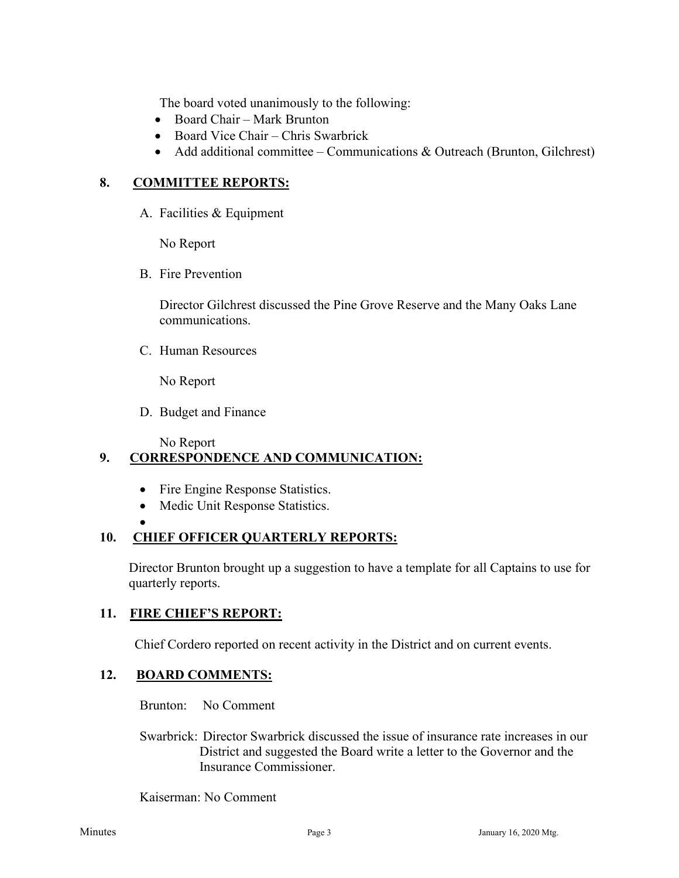The board voted unanimously to the following:

- Board Chair Mark Brunton
- Board Vice Chair Chris Swarbrick
- Add additional committee Communications & Outreach (Brunton, Gilchrest)

# **8. COMMITTEE REPORTS:**

A. Facilities & Equipment

No Report

B. Fire Prevention

Director Gilchrest discussed the Pine Grove Reserve and the Many Oaks Lane communications.

C. Human Resources

No Report

D. Budget and Finance

No Report

# **9. CORRESPONDENCE AND COMMUNICATION:**

- Fire Engine Response Statistics.
- Medic Unit Response Statistics.

•

# **10. CHIEF OFFICER QUARTERLY REPORTS:**

Director Brunton brought up a suggestion to have a template for all Captains to use for quarterly reports.

# **11. FIRE CHIEF'S REPORT:**

Chief Cordero reported on recent activity in the District and on current events.

# **12. BOARD COMMENTS:**

Brunton: No Comment

 Swarbrick: Director Swarbrick discussed the issue of insurance rate increases in our District and suggested the Board write a letter to the Governor and the Insurance Commissioner.

Kaiserman: No Comment